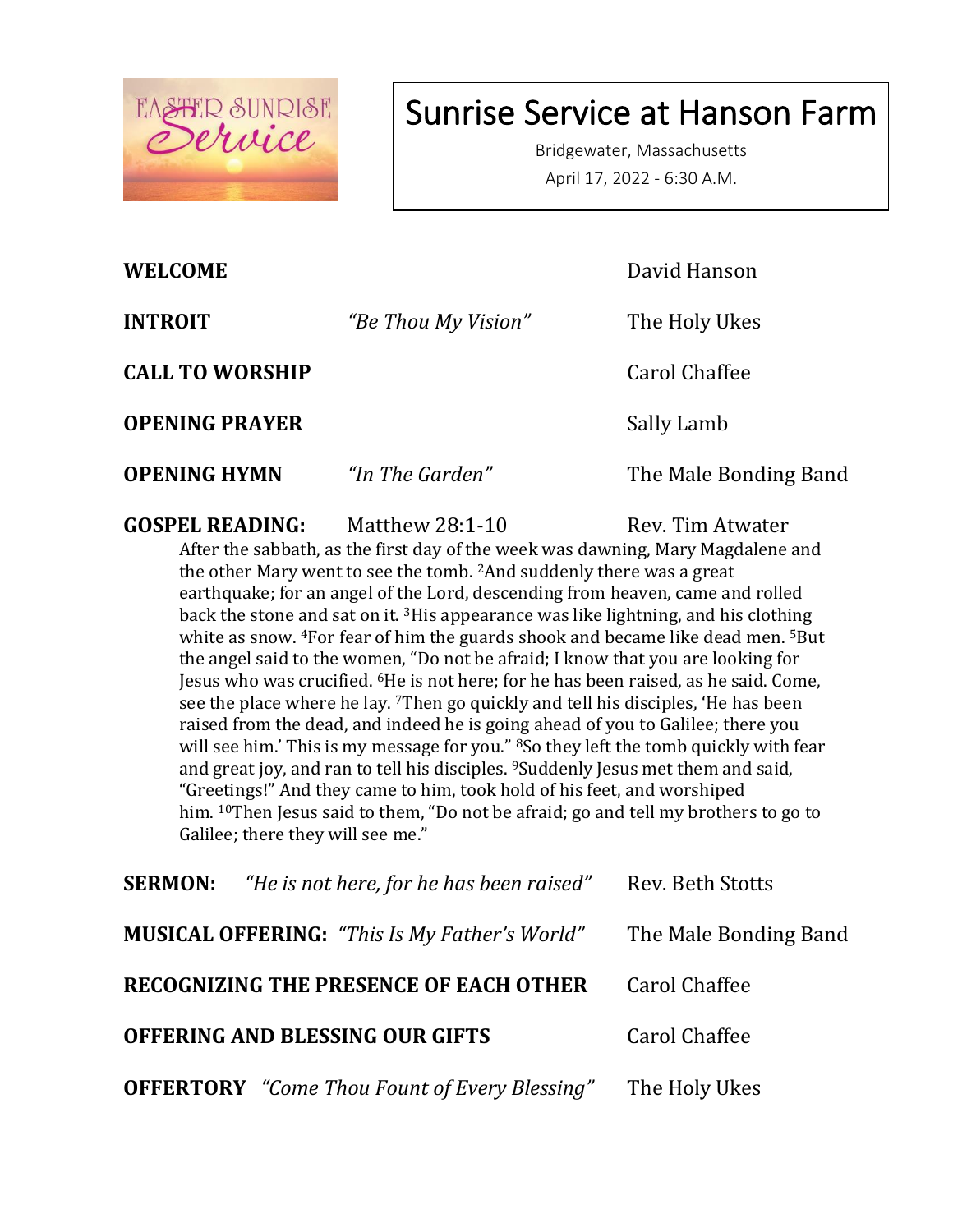

# Sunrise Service at Hanson Farm

Bridgewater, Massachusetts April 17, 2022 - 6:30 A.M.

| <b>WELCOME</b>         |                     | David Hanson          |
|------------------------|---------------------|-----------------------|
| <b>INTROIT</b>         | "Be Thou My Vision" | The Holy Ukes         |
| <b>CALL TO WORSHIP</b> |                     | Carol Chaffee         |
| <b>OPENING PRAYER</b>  |                     | Sally Lamb            |
| <b>OPENING HYMN</b>    | "In The Garden"     | The Male Bonding Band |
|                        |                     |                       |

**GOSPEL READING:** Matthew 28:1-10 Rev. Tim Atwater

After the sabbath, as the first day of the week was dawning, Mary Magdalene and the other Mary went to see the tomb. <sup>2</sup>And suddenly there was a great earthquake; for an angel of the Lord, descending from heaven, came and rolled back the stone and sat on it. <sup>3</sup>His appearance was like lightning, and his clothing white as snow. <sup>4</sup>For fear of him the guards shook and became like dead men. <sup>5</sup>But the angel said to the women, "Do not be afraid; I know that you are looking for Jesus who was crucified. <sup>6</sup>He is not here; for he has been raised, as he said. Come, see the place where he lay. <sup>7</sup>Then go quickly and tell his disciples, 'He has been raised from the dead, and indeed he is going ahead of you to Galilee; there you will see him.' This is my message for you." <sup>8</sup>So they left the tomb quickly with fear and great joy, and ran to tell his disciples. <sup>9</sup>Suddenly Jesus met them and said, "Greetings!" And they came to him, took hold of his feet, and worshiped him. <sup>10</sup>Then Jesus said to them, "Do not be afraid; go and tell my brothers to go to Galilee; there they will see me."

| <b>SERMON:</b>                  | "He is not here, for he has been raised" Rev. Beth Stotts                  |                      |
|---------------------------------|----------------------------------------------------------------------------|----------------------|
|                                 | <b>MUSICAL OFFERING:</b> "This Is My Father's World" The Male Bonding Band |                      |
|                                 | <b>RECOGNIZING THE PRESENCE OF EACH OTHER</b>                              | <b>Carol Chaffee</b> |
| OFFERING AND BLESSING OUR GIFTS |                                                                            | <b>Carol Chaffee</b> |
|                                 | <b>OFFERTORY</b> "Come Thou Fount of Every Blessing" The Holy Ukes         |                      |